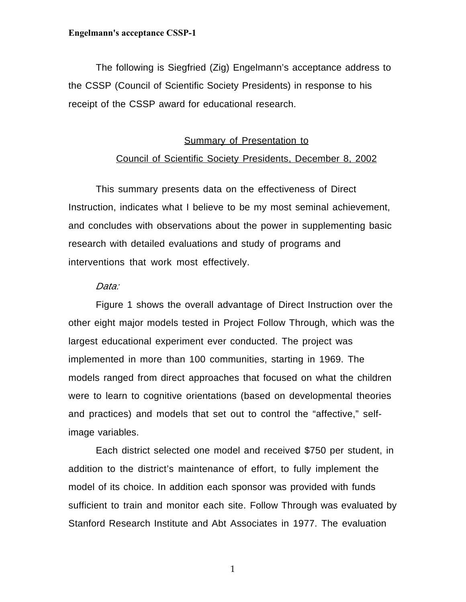#### **Summary of Presentation to**

## Council of Scientific Society Presidents, December 8, 2002

This summary presents data on the effectiveness of Direct Instruction, indicates what I believe to be my most seminal achievement, and concludes with observations about the power in supplementing basic research with detailed evaluations and study of programs and interventions that work most effectively.

## Data:

Figure 1 shows the overall advantage of Direct Instruction over the other eight major models tested in Project Follow Through, which was the largest educational experiment ever conducted. The project was implemented in more than 100 communities, starting in 1969. The models ranged from direct approaches that focused on what the children were to learn to cognitive orientations (based on developmental theories and practices) and models that set out to control the "affective," selfimage variables.

Each district selected one model and received \$750 per student, in addition to the district's maintenance of effort, to fully implement the model of its choice. In addition each sponsor was provided with funds sufficient to train and monitor each site. Follow Through was evaluated by Stanford Research Institute and Abt Associates in 1977. The evaluation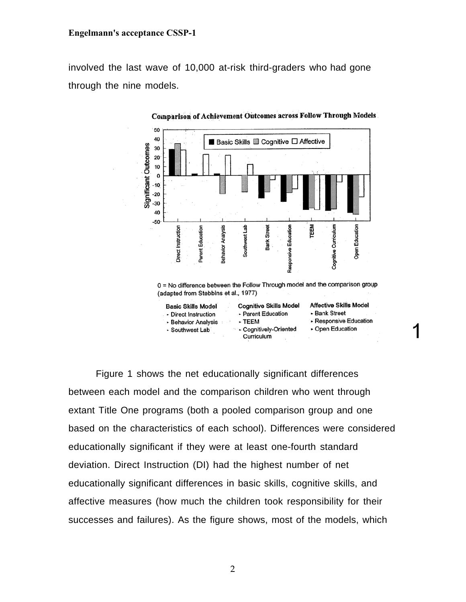involved the last wave of 10,000 at-risk third-graders who had gone through the nine models.



Comparison of Achievement Outcomes across Follow Through Models

Figure 1 shows the net educationally significant differences between each model and the comparison children who went through extant Title One programs (both a pooled comparison group and one based on the characteristics of each school). Differences were considered educationally significant if they were at least one-fourth standard deviation. Direct Instruction (DI) had the highest number of net educationally significant differences in basic skills, cognitive skills, and affective measures (how much the children took responsibility for their successes and failures). As the figure shows, most of the models, which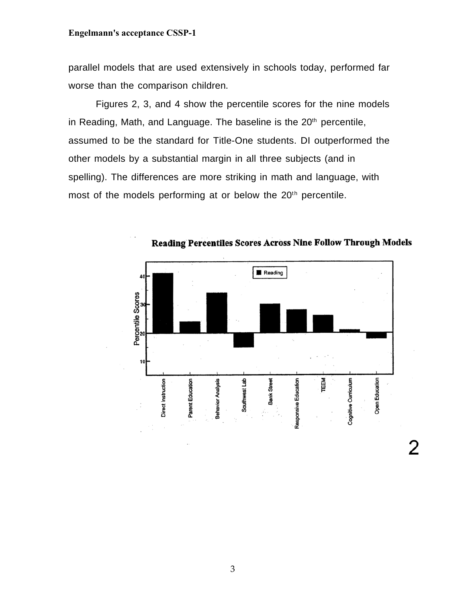parallel models that are used extensively in schools today, performed far worse than the comparison children.

Figures 2, 3, and 4 show the percentile scores for the nine models in Reading, Math, and Language. The baseline is the  $20<sup>th</sup>$  percentile, assumed to be the standard for Title-One students. DI outperformed the other models by a substantial margin in all three subjects (and in spelling). The differences are more striking in math and language, with most of the models performing at or below the  $20<sup>th</sup>$  percentile.



Reading Percentiles Scores Across Nine Follow Through Models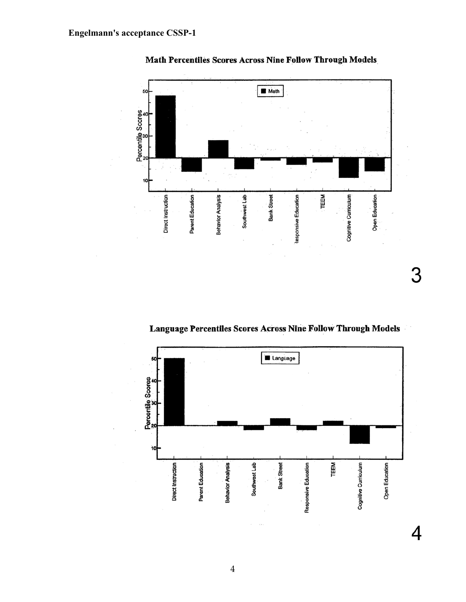

Math Percentiles Scores Across Nine Follow Through Models

Language Percentiles Scores Across Nine Follow Through Models

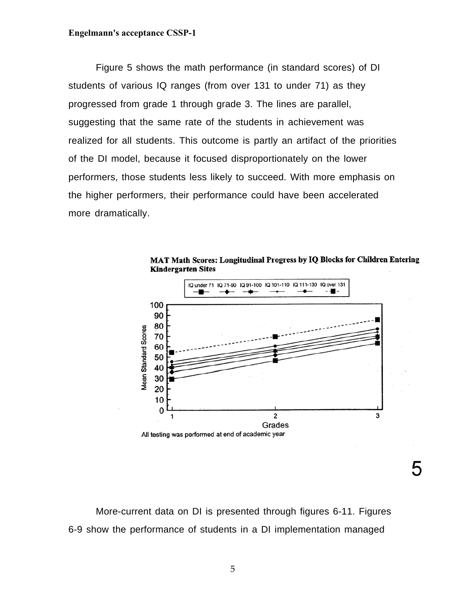Figure 5 shows the math performance (in standard scores) of DI students of various IQ ranges (from over 131 to under 71) as they progressed from grade 1 through grade 3. The lines are parallel, suggesting that the same rate of the students in achievement was realized for all students. This outcome is partly an artifact of the priorities of the DI model, because it focused disproportionately on the lower performers, those students less likely to succeed. With more emphasis on the higher performers, their performance could have been accelerated more dramatically.



MAT Math Scores: Longitudinal Progress by IQ Blocks for Children Entering **Kindergarten Sites** 

5

More-current data on DI is presented through figures 6-11. Figures 6-9 show the performance of students in a DI implementation managed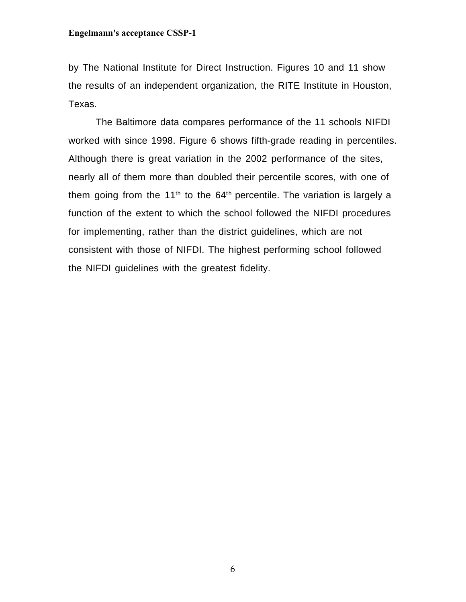by The National Institute for Direct Instruction. Figures 10 and 11 show the results of an independent organization, the RITE Institute in Houston, Texas.

The Baltimore data compares performance of the 11 schools NIFDI worked with since 1998. Figure 6 shows fifth-grade reading in percentiles. Although there is great variation in the 2002 performance of the sites, nearly all of them more than doubled their percentile scores, with one of them going from the 11<sup>th</sup> to the 64<sup>th</sup> percentile. The variation is largely a function of the extent to which the school followed the NIFDI procedures for implementing, rather than the district guidelines, which are not consistent with those of NIFDI. The highest performing school followed the NIFDI guidelines with the greatest fidelity.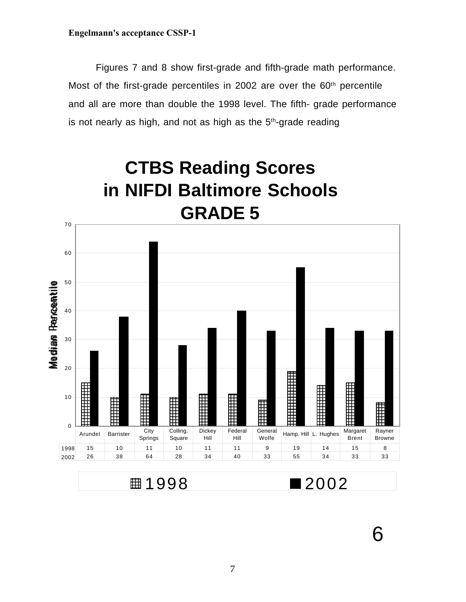Figures 7 and 8 show first-grade and fifth-grade math performance. Most of the first-grade percentiles in 2002 are over the 60<sup>th</sup> percentile and all are more than double the 1998 level. The fifth- grade performance is not nearly as high, and not as high as the  $5<sup>th</sup>$ -grade reading



**■1998 2002** 

6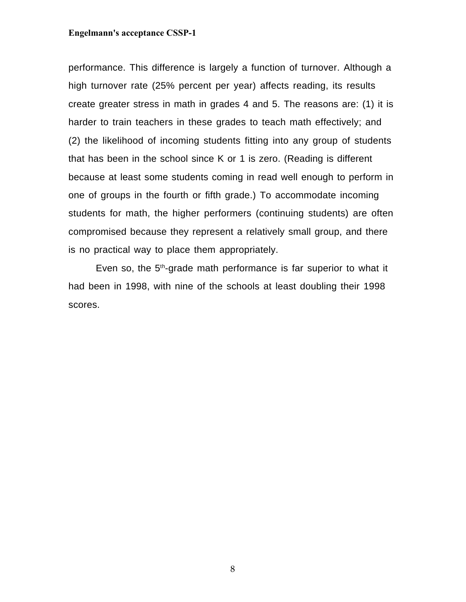performance. This difference is largely a function of turnover. Although a high turnover rate (25% percent per year) affects reading, its results create greater stress in math in grades 4 and 5. The reasons are: (1) it is harder to train teachers in these grades to teach math effectively; and (2) the likelihood of incoming students fitting into any group of students that has been in the school since K or 1 is zero. (Reading is different because at least some students coming in read well enough to perform in one of groups in the fourth or fifth grade.) To accommodate incoming students for math, the higher performers (continuing students) are often compromised because they represent a relatively small group, and there is no practical way to place them appropriately.

Even so, the 5<sup>th</sup>-grade math performance is far superior to what it had been in 1998, with nine of the schools at least doubling their 1998 scores.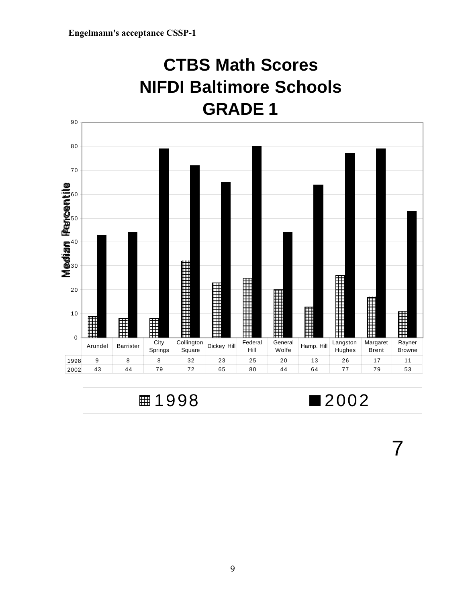## **CTBS Math Scores NIFDI Baltimore Schools GRADE 1**



■1998 ■2002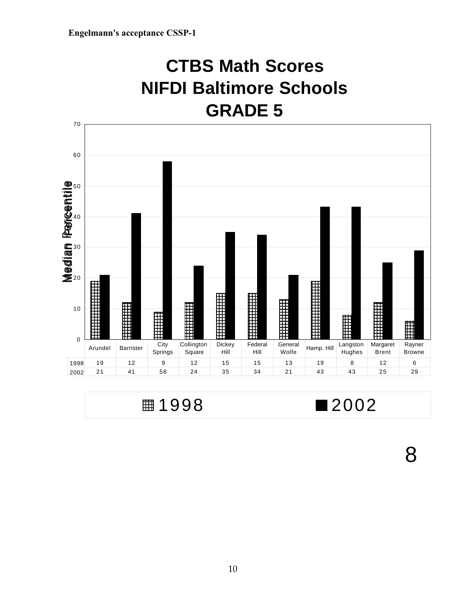## **CTBS Math Scores NIFDI Baltimore Schools GRADE 5**



| ■2002 |
|-------|
|       |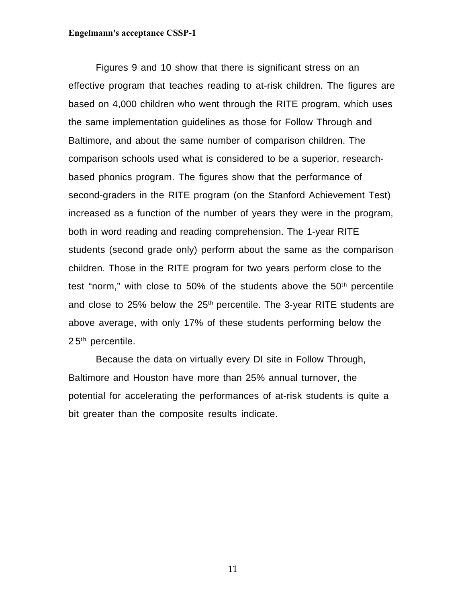Figures 9 and 10 show that there is significant stress on an effective program that teaches reading to at-risk children. The figures are based on 4,000 children who went through the RITE program, which uses the same implementation guidelines as those for Follow Through and Baltimore, and about the same number of comparison children. The comparison schools used what is considered to be a superior, researchbased phonics program. The figures show that the performance of second-graders in the RITE program (on the Stanford Achievement Test) increased as a function of the number of years they were in the program, both in word reading and reading comprehension. The 1-year RITE students (second grade only) perform about the same as the comparison children. Those in the RITE program for two years perform close to the test "norm," with close to 50% of the students above the  $50<sup>th</sup>$  percentile and close to 25% below the 25<sup>th</sup> percentile. The 3-year RITE students are above average, with only 17% of these students performing below the  $25<sup>th</sup>$  percentile.

Because the data on virtually every DI site in Follow Through, Baltimore and Houston have more than 25% annual turnover, the potential for accelerating the performances of at-risk students is quite a bit greater than the composite results indicate.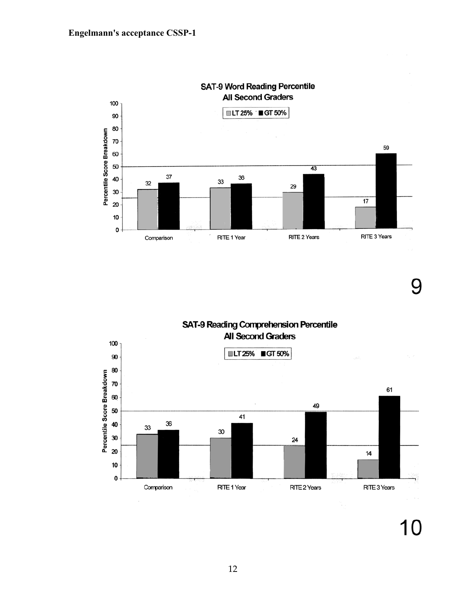

**SAT-9 Word Reading Percentile All Second Graders** 

# 9

SAT-9 Reading Comprehension Percentile **All Second Graders** 

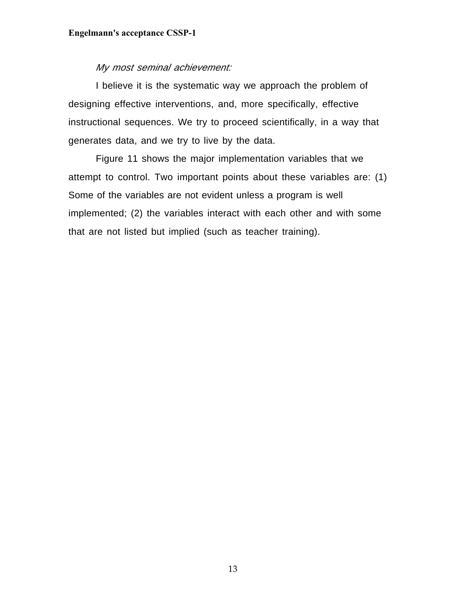## My most seminal achievement:

I believe it is the systematic way we approach the problem of designing effective interventions, and, more specifically, effective instructional sequences. We try to proceed scientifically, in a way that generates data, and we try to live by the data.

Figure 11 shows the major implementation variables that we attempt to control. Two important points about these variables are: (1) Some of the variables are not evident unless a program is well implemented; (2) the variables interact with each other and with some that are not listed but implied (such as teacher training).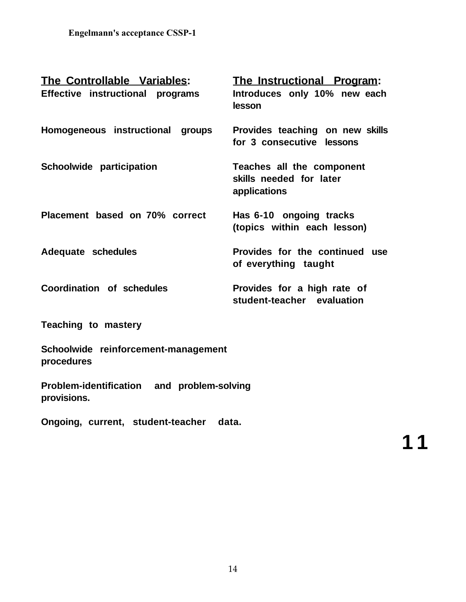| <b>The Controllable Variables:</b><br>Effective instructional programs | <u>The Instructional Program:</u><br>Introduces only 10% new each<br>lesson |
|------------------------------------------------------------------------|-----------------------------------------------------------------------------|
| Homogeneous instructional<br>groups                                    | Provides teaching on new skills<br>for 3 consecutive lessons                |
| Schoolwide participation                                               | Teaches all the component<br>skills needed for later<br>applications        |
| Placement based on 70% correct                                         | Has 6-10 ongoing tracks<br>(topics within each lesson)                      |
| Adequate schedules                                                     | Provides for the continued use<br>of everything taught                      |
| Coordination of schedules                                              | Provides for a high rate of<br>student-teacher evaluation                   |

**Teaching to mastery**

**Schoolwide reinforcement-management procedures**

**Problem-identification and problem-solving provisions.**

**Ongoing, current, student-teacher data.**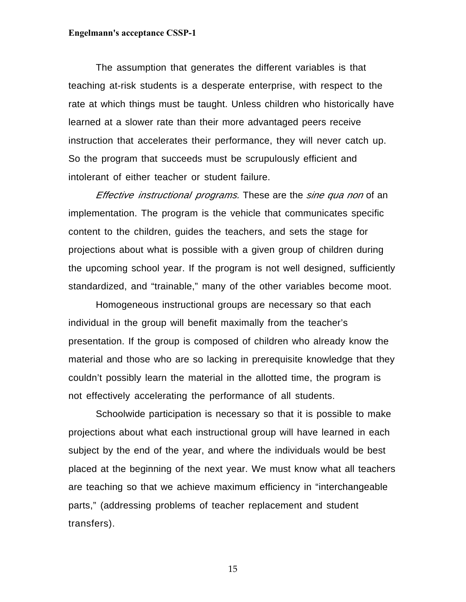The assumption that generates the different variables is that teaching at-risk students is a desperate enterprise, with respect to the rate at which things must be taught. Unless children who historically have learned at a slower rate than their more advantaged peers receive instruction that accelerates their performance, they will never catch up. So the program that succeeds must be scrupulously efficient and intolerant of either teacher or student failure.

Effective instructional programs. These are the sine qua non of an implementation. The program is the vehicle that communicates specific content to the children, guides the teachers, and sets the stage for projections about what is possible with a given group of children during the upcoming school year. If the program is not well designed, sufficiently standardized, and "trainable," many of the other variables become moot.

Homogeneous instructional groups are necessary so that each individual in the group will benefit maximally from the teacher's presentation. If the group is composed of children who already know the material and those who are so lacking in prerequisite knowledge that they couldn't possibly learn the material in the allotted time, the program is not effectively accelerating the performance of all students.

Schoolwide participation is necessary so that it is possible to make projections about what each instructional group will have learned in each subject by the end of the year, and where the individuals would be best placed at the beginning of the next year. We must know what all teachers are teaching so that we achieve maximum efficiency in "interchangeable parts," (addressing problems of teacher replacement and student transfers).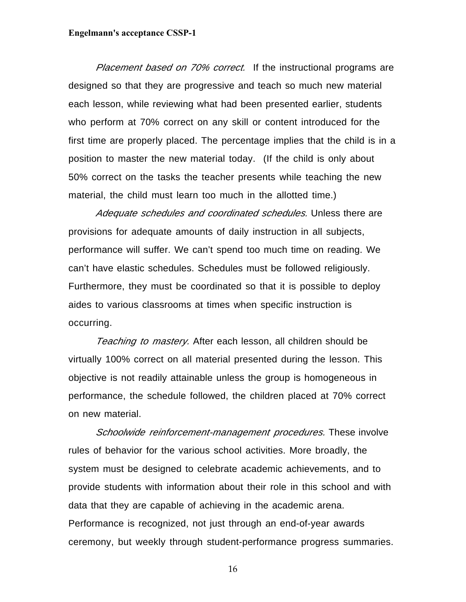Placement based on 70% correct. If the instructional programs are designed so that they are progressive and teach so much new material each lesson, while reviewing what had been presented earlier, students who perform at 70% correct on any skill or content introduced for the first time are properly placed. The percentage implies that the child is in a position to master the new material today. (If the child is only about 50% correct on the tasks the teacher presents while teaching the new material, the child must learn too much in the allotted time.)

Adequate schedules and coordinated schedules. Unless there are provisions for adequate amounts of daily instruction in all subjects, performance will suffer. We can't spend too much time on reading. We can't have elastic schedules. Schedules must be followed religiously. Furthermore, they must be coordinated so that it is possible to deploy aides to various classrooms at times when specific instruction is occurring.

Teaching to mastery. After each lesson, all children should be virtually 100% correct on all material presented during the lesson. This objective is not readily attainable unless the group is homogeneous in performance, the schedule followed, the children placed at 70% correct on new material.

Schoolwide reinforcement-management procedures. These involve rules of behavior for the various school activities. More broadly, the system must be designed to celebrate academic achievements, and to provide students with information about their role in this school and with data that they are capable of achieving in the academic arena. Performance is recognized, not just through an end-of-year awards ceremony, but weekly through student-performance progress summaries.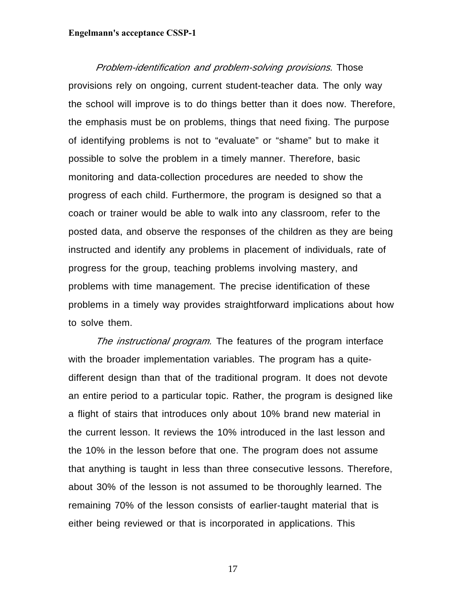Problem-identification and problem-solving provisions. Those provisions rely on ongoing, current student-teacher data. The only way the school will improve is to do things better than it does now. Therefore, the emphasis must be on problems, things that need fixing. The purpose of identifying problems is not to "evaluate" or "shame" but to make it possible to solve the problem in a timely manner. Therefore, basic monitoring and data-collection procedures are needed to show the progress of each child. Furthermore, the program is designed so that a coach or trainer would be able to walk into any classroom, refer to the posted data, and observe the responses of the children as they are being instructed and identify any problems in placement of individuals, rate of progress for the group, teaching problems involving mastery, and problems with time management. The precise identification of these problems in a timely way provides straightforward implications about how to solve them.

The *instructional program*. The features of the program interface with the broader implementation variables. The program has a quitedifferent design than that of the traditional program. It does not devote an entire period to a particular topic. Rather, the program is designed like a flight of stairs that introduces only about 10% brand new material in the current lesson. It reviews the 10% introduced in the last lesson and the 10% in the lesson before that one. The program does not assume that anything is taught in less than three consecutive lessons. Therefore, about 30% of the lesson is not assumed to be thoroughly learned. The remaining 70% of the lesson consists of earlier-taught material that is either being reviewed or that is incorporated in applications. This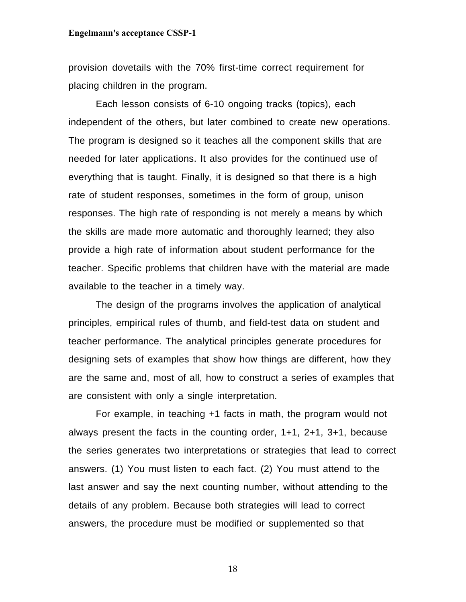provision dovetails with the 70% first-time correct requirement for placing children in the program.

Each lesson consists of 6-10 ongoing tracks (topics), each independent of the others, but later combined to create new operations. The program is designed so it teaches all the component skills that are needed for later applications. It also provides for the continued use of everything that is taught. Finally, it is designed so that there is a high rate of student responses, sometimes in the form of group, unison responses. The high rate of responding is not merely a means by which the skills are made more automatic and thoroughly learned; they also provide a high rate of information about student performance for the teacher. Specific problems that children have with the material are made available to the teacher in a timely way.

The design of the programs involves the application of analytical principles, empirical rules of thumb, and field-test data on student and teacher performance. The analytical principles generate procedures for designing sets of examples that show how things are different, how they are the same and, most of all, how to construct a series of examples that are consistent with only a single interpretation.

For example, in teaching +1 facts in math, the program would not always present the facts in the counting order, 1+1, 2+1, 3+1, because the series generates two interpretations or strategies that lead to correct answers. (1) You must listen to each fact. (2) You must attend to the last answer and say the next counting number, without attending to the details of any problem. Because both strategies will lead to correct answers, the procedure must be modified or supplemented so that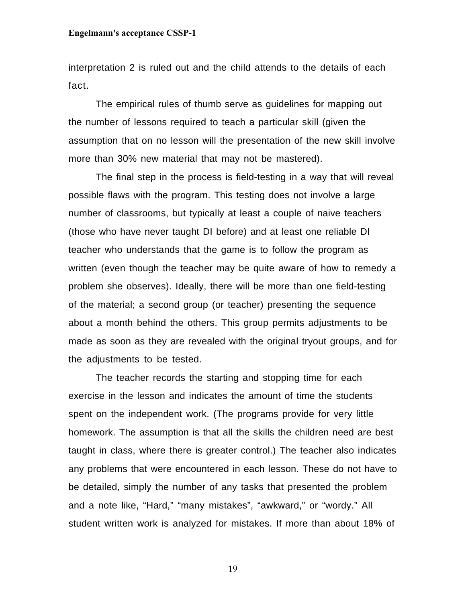interpretation 2 is ruled out and the child attends to the details of each fact.

The empirical rules of thumb serve as guidelines for mapping out the number of lessons required to teach a particular skill (given the assumption that on no lesson will the presentation of the new skill involve more than 30% new material that may not be mastered).

The final step in the process is field-testing in a way that will reveal possible flaws with the program. This testing does not involve a large number of classrooms, but typically at least a couple of naive teachers (those who have never taught DI before) and at least one reliable DI teacher who understands that the game is to follow the program as written (even though the teacher may be quite aware of how to remedy a problem she observes). Ideally, there will be more than one field-testing of the material; a second group (or teacher) presenting the sequence about a month behind the others. This group permits adjustments to be made as soon as they are revealed with the original tryout groups, and for the adjustments to be tested.

The teacher records the starting and stopping time for each exercise in the lesson and indicates the amount of time the students spent on the independent work. (The programs provide for very little homework. The assumption is that all the skills the children need are best taught in class, where there is greater control.) The teacher also indicates any problems that were encountered in each lesson. These do not have to be detailed, simply the number of any tasks that presented the problem and a note like, "Hard," "many mistakes", "awkward," or "wordy." All student written work is analyzed for mistakes. If more than about 18% of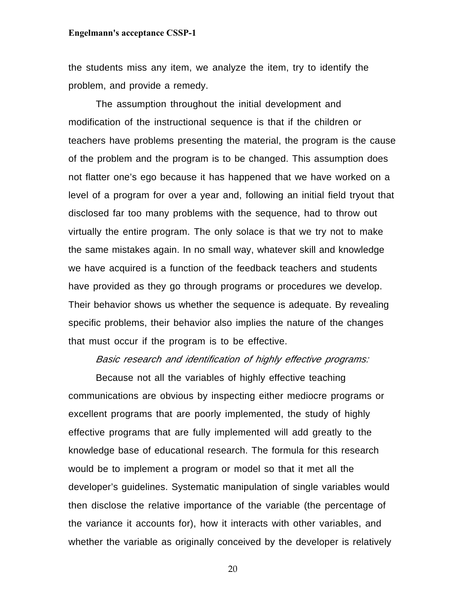the students miss any item, we analyze the item, try to identify the problem, and provide a remedy.

The assumption throughout the initial development and modification of the instructional sequence is that if the children or teachers have problems presenting the material, the program is the cause of the problem and the program is to be changed. This assumption does not flatter one's ego because it has happened that we have worked on a level of a program for over a year and, following an initial field tryout that disclosed far too many problems with the sequence, had to throw out virtually the entire program. The only solace is that we try not to make the same mistakes again. In no small way, whatever skill and knowledge we have acquired is a function of the feedback teachers and students have provided as they go through programs or procedures we develop. Their behavior shows us whether the sequence is adequate. By revealing specific problems, their behavior also implies the nature of the changes that must occur if the program is to be effective.

## Basic research and identification of highly effective programs:

Because not all the variables of highly effective teaching communications are obvious by inspecting either mediocre programs or excellent programs that are poorly implemented, the study of highly effective programs that are fully implemented will add greatly to the knowledge base of educational research. The formula for this research would be to implement a program or model so that it met all the developer's guidelines. Systematic manipulation of single variables would then disclose the relative importance of the variable (the percentage of the variance it accounts for), how it interacts with other variables, and whether the variable as originally conceived by the developer is relatively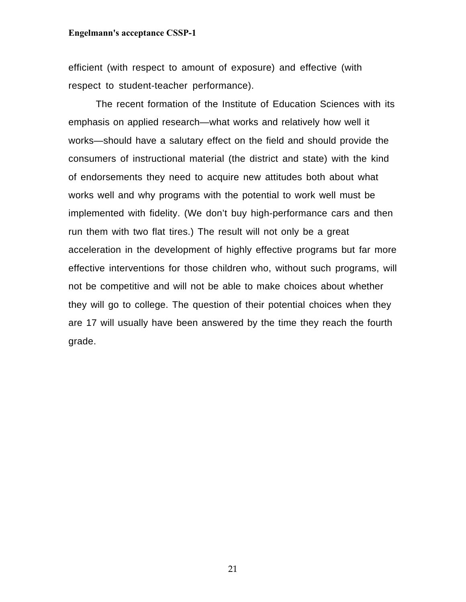efficient (with respect to amount of exposure) and effective (with respect to student-teacher performance).

The recent formation of the Institute of Education Sciences with its emphasis on applied research—what works and relatively how well it works—should have a salutary effect on the field and should provide the consumers of instructional material (the district and state) with the kind of endorsements they need to acquire new attitudes both about what works well and why programs with the potential to work well must be implemented with fidelity. (We don't buy high-performance cars and then run them with two flat tires.) The result will not only be a great acceleration in the development of highly effective programs but far more effective interventions for those children who, without such programs, will not be competitive and will not be able to make choices about whether they will go to college. The question of their potential choices when they are 17 will usually have been answered by the time they reach the fourth grade.